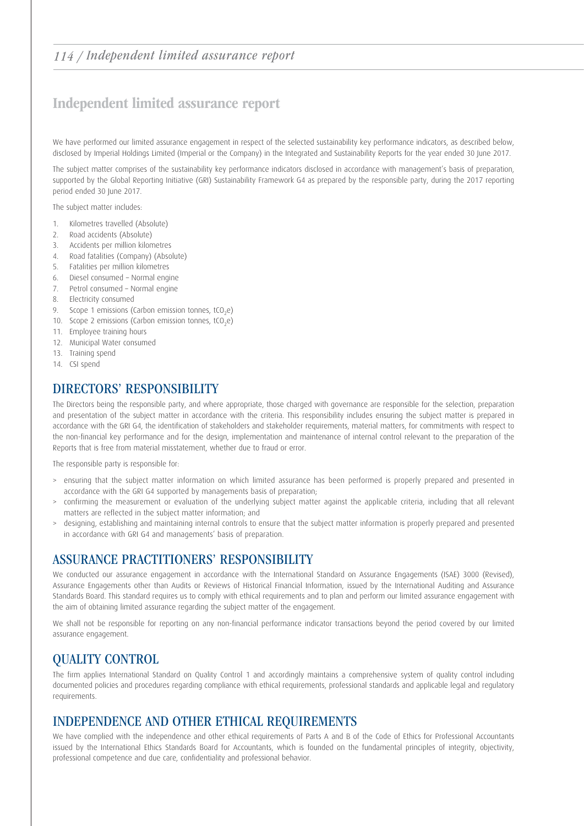## 114 / Independent limited assurance report

# Independent limited assurance report

We have performed our limited assurance engagement in respect of the selected sustainability key performance indicators, as described below, disclosed by Imperial Holdings Limited (Imperial or the Company) in the Integrated and Sustainability Reports for the year ended 30 June 2017.

The subject matter comprises of the sustainability key performance indicators disclosed in accordance with management's basis of preparation, supported by the Global Reporting Initiative (GRI) Sustainability Framework G4 as prepared by the responsible party, during the 2017 reporting period ended 30 June 2017.

The subject matter includes:

- 1. Kilometres travelled (Absolute)
- 2. Road accidents (Absolute)
- 3. Accidents per million kilometres
- 4. Road fatalities (Company) (Absolute)
- 5. Fatalities per million kilometres
- 6. Diesel consumed Normal engine
- 7. Petrol consumed Normal engine
- 8. Electricity consumed
- 9. Scope 1 emissions (Carbon emission tonnes,  $tCO<sub>2</sub>e$ )
- 10. Scope 2 emissions (Carbon emission tonnes,  $tCO<sub>2</sub>e$ )
- 11. Employee training hours
- 12. Municipal Water consumed
- 13. Training spend
- 14. CSI spend

#### DIRECTORS' RESPONSIBILITY

The Directors being the responsible party, and where appropriate, those charged with governance are responsible for the selection, preparation and presentation of the subject matter in accordance with the criteria. This responsibility includes ensuring the subject matter is prepared in accordance with the GRI G4, the identification of stakeholders and stakeholder requirements, material matters, for commitments with respect to the non-financial key performance and for the design, implementation and maintenance of internal control relevant to the preparation of the Reports that is free from material misstatement, whether due to fraud or error.

The responsible party is responsible for:

- > ensuring that the subject matter information on which limited assurance has been performed is properly prepared and presented in accordance with the GRI G4 supported by managements basis of preparation;
- > confirming the measurement or evaluation of the underlying subject matter against the applicable criteria, including that all relevant matters are reflected in the subject matter information; and
- > designing, establishing and maintaining internal controls to ensure that the subject matter information is properly prepared and presented in accordance with GRI G4 and managements' basis of preparation.

#### ASSURANCE PRACTITIONERS' RESPONSIBILITY

We conducted our assurance engagement in accordance with the International Standard on Assurance Engagements (ISAE) 3000 (Revised), Assurance Engagements other than Audits or Reviews of Historical Financial Information, issued by the International Auditing and Assurance Standards Board. This standard requires us to comply with ethical requirements and to plan and perform our limited assurance engagement with the aim of obtaining limited assurance regarding the subject matter of the engagement.

We shall not be responsible for reporting on any non-financial performance indicator transactions beyond the period covered by our limited assurance engagement.

## QUALITY CONTROL

The firm applies International Standard on Quality Control 1 and accordingly maintains a comprehensive system of quality control including documented policies and procedures regarding compliance with ethical requirements, professional standards and applicable legal and regulatory requirements.

## INDEPENDENCE AND OTHER ETHICAL REQUIREMENTS

We have complied with the independence and other ethical requirements of Parts A and B of the Code of Ethics for Professional Accountants issued by the International Ethics Standards Board for Accountants, which is founded on the fundamental principles of integrity, objectivity, professional competence and due care, confidentiality and professional behavior.